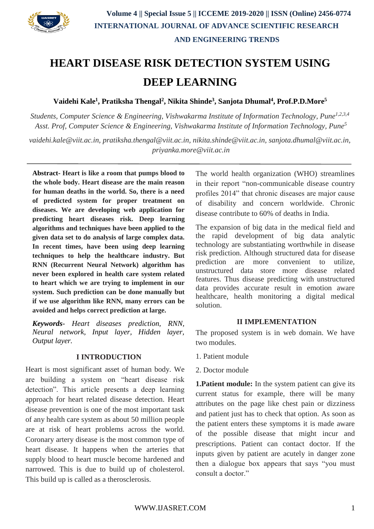

# **HEART DISEASE RISK DETECTION SYSTEM USING DEEP LEARNING**

**Vaidehi Kale<sup>1</sup> , Pratiksha Thengal<sup>2</sup> , Nikita Shinde<sup>3</sup> , Sanjota Dhumal<sup>4</sup> , Prof.P.D.More<sup>5</sup>**

*Students, Computer Science & Engineering, Vishwakarma Institute of Information Technology, Pune1,2,3,4 Asst. Prof, Computer Science & Engineering, Vishwakarma Institute of Information Technology, Pune<sup>5</sup>*

*[vaidehi.kale@viit.ac.in, pratiksha.thengal@viit.ac.in,](mailto:vaidehi.kale@viit.ac.in) [nikita.shinde@viit.ac.in,](mailto:nikita.shinde@viit.ac.in) [sanjota.dhumal@viit.ac.in,](mailto:sanjota.dhumal@viit.ac.in)  [priyanka.more@viit.ac.in](mailto:priyanka.more@viit.ac.in)*

**Abstract- Heart is like a room that pumps blood to the whole body. Heart disease are the main reason for human deaths in the world. So, there is a need of predicted system for proper treatment on diseases. We are developing web application for predicting heart diseases risk. Deep learning algorithms and techniques have been applied to the given data set to do analysis of large complex data. In recent times, have been using deep learning techniques to help the healthcare industry. But RNN (Recurrent Neural Network) algorithm has never been explored in health care system related to heart which we are trying to implement in our system. Such prediction can be done manually but if we use algorithm like RNN, many errors can be avoided and helps correct prediction at large.**

*Keywords- Heart diseases prediction, RNN, Neural network, Input layer, Hidden layer, Output layer.*

### **I INTRODUCTION**

Heart is most significant asset of human body. We are building a system on "heart disease risk detection". This article presents a deep learning approach for heart related disease detection. Heart disease prevention is one of the most important task of any health care system as about 50 million people are at risk of heart problems across the world. Coronary artery disease is the most common type of heart disease. It happens when the arteries that supply blood to heart muscle become hardened and narrowed. This is due to build up of cholesterol. This build up is called as a therosclerosis.

The world health organization (WHO) streamlines in their report "non-communicable disease country profiles 2014" that chronic diseases are major cause of disability and concern worldwide. Chronic disease contribute to 60% of deaths in India.

The expansion of big data in the medical field and the rapid development of big data analytic technology are substantiating worthwhile in disease risk prediction. Although structured data for disease prediction are more convenient to utilize, unstructured data store more disease related features. Thus disease predicting with unstructured data provides accurate result in emotion aware healthcare, health monitoring a digital medical solution.

#### **II IMPLEMENTATION**

The proposed system is in web domain. We have two modules.

- 1. Patient module
- 2. Doctor module

**1. Patient module:** In the system patient can give its current status for example, there will be many attributes on the page like chest pain or dizziness and patient just has to check that option. As soon as the patient enters these symptoms it is made aware of the possible disease that might incur and prescriptions. Patient can contact doctor. If the inputs given by patient are acutely in danger zone then a dialogue box appears that says "you must consult a doctor."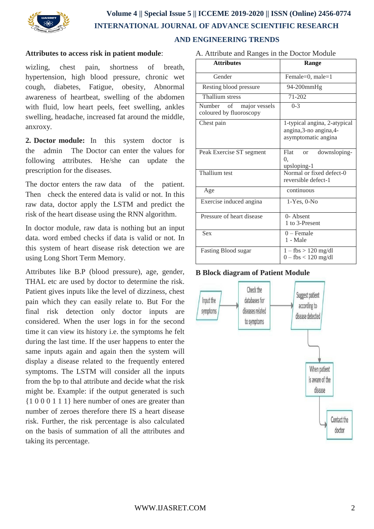

# **Volume 4 || Special Issue 5 || ICCEME 2019-2020 || ISSN (Online) 2456-0774 INTERNATIONAL JOURNAL OF ADVANCE SCIENTIFIC RESEARCH AND ENGINEERING TRENDS**

### **Attributes to access risk in patient module**:

wizling, chest pain, shortness of breath, hypertension, high blood pressure, chronic wet cough, diabetes, Fatigue, obesity, Abnormal awareness of heartbeat, swelling of the abdomen with fluid, low heart peels, feet swelling, ankles swelling, headache, increased fat around the middle, anxroxy.

**2. Doctor module:** In this system doctor is the admin The Doctor can enter the values for following attributes. He/she can update the prescription for the diseases.

The doctor enters the raw data of the patient. Then check the entered data is valid or not. In this raw data, doctor apply the LSTM and predict the risk of the heart disease using the RNN algorithm.

In doctor module, raw data is nothing but an input data. word embed checks if data is valid or not. In this system of heart disease risk detection we are using Long Short Term Memory.

Attributes like B.P (blood pressure), age, gender, THAL etc are used by doctor to determine the risk. Patient gives inputs like the level of dizziness, chest pain which they can easily relate to. But For the final risk detection only doctor inputs are considered. When the user logs in for the second time it can view its history i.e. the symptoms he felt during the last time. If the user happens to enter the same inputs again and again then the system will display a disease related to the frequently entered symptoms. The LSTM will consider all the inputs from the bp to thal attribute and decide what the risk might be. Example: if the output generated is such {1 0 0 0 1 1 1} here number of ones are greater than number of zeroes therefore there IS a heart disease risk. Further, the risk percentage is also calculated on the basis of summation of all the attributes and taking its percentage.

| <b>Attributes</b>                                  | Range                                                                          |
|----------------------------------------------------|--------------------------------------------------------------------------------|
| Gender                                             | Female=0, male=1                                                               |
| Resting blood pressure                             | 94-200mmHg                                                                     |
| <b>Thallium</b> stress                             | $71 - 202$                                                                     |
| Number of major vessels<br>coloured by fluoroscopy | $0 - 3$                                                                        |
| Chest pain                                         | 1-typical angina, 2-atypical<br>angina, 3-no angina, 4-<br>asymptomatic angina |
| Peak Exercise ST segment                           | Flat<br>downsloping-<br>$\alpha$<br>0.<br>upsloping-1                          |
| Thallium test                                      | Normal or fixed defect-0<br>reversible defect-1                                |
| Age                                                | continuous                                                                     |
| Exercise induced angina                            | $1-Yes$ , $0-No$                                                               |
| Pressure of heart disease                          | $\overline{0}$ - Absent<br>1 to 3-Present                                      |
| Sex                                                | $0$ – Female<br>1 - Male                                                       |
| <b>Fasting Blood sugar</b>                         | $1 - \text{fbs} > 120 \text{ mg/dl}$<br>$0 - fbs < 120$ mg/dl                  |

### **B Block diagram of Patient Module**